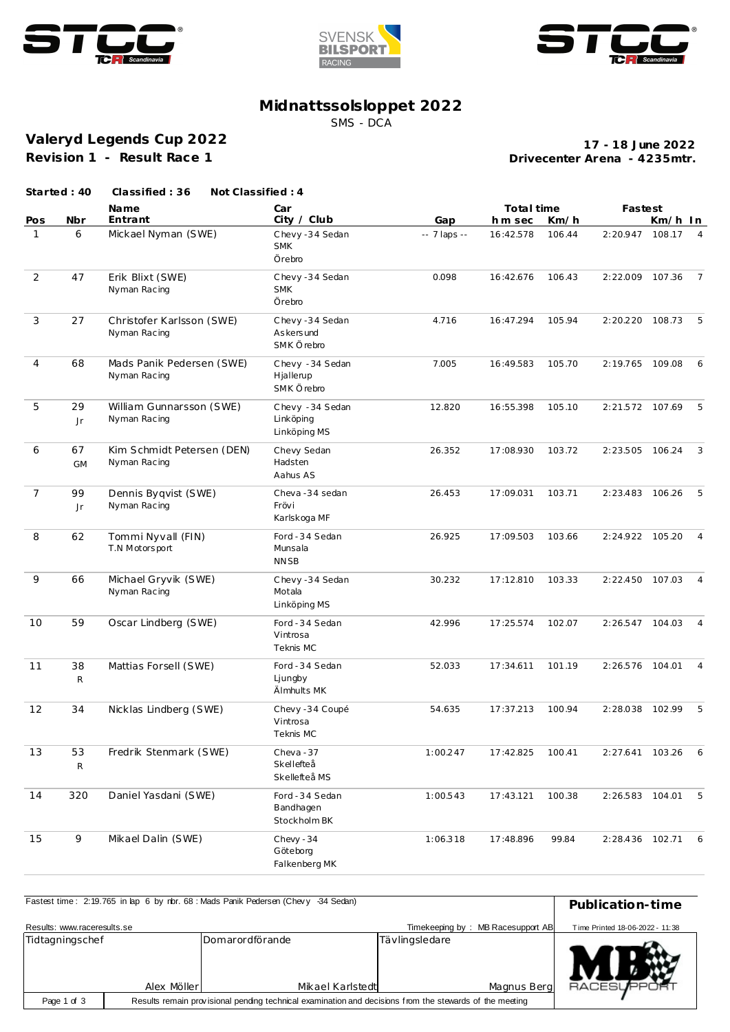





## **Midnattssolsloppet 2022**

SMS - DCA

**Valeryd Legends Cup 2022 Revision 1 - Result Race 1**

**Drivecenter Arena - 4235mtr. 17 - 18 June 2022**

|                | Started: 40        | Classified: 36<br>Not Classified: 4        |                                               |              |            |        |                   |         |                 |
|----------------|--------------------|--------------------------------------------|-----------------------------------------------|--------------|------------|--------|-------------------|---------|-----------------|
|                |                    | <b>Name</b>                                | Car                                           |              | Total time |        | Fastest           |         |                 |
| Pos            | Nbr                | Entrant                                    | City / Club                                   | Gap          | h m sec    | Km/h   |                   | Km/h In |                 |
| $\mathbf{1}$   | 6                  | Mickael Nyman (SWE)                        | Chevy-34 Sedan<br><b>SMK</b><br>Örebro        | -- 7 laps -- | 16:42.578  | 106.44 | 2:20.947          | 108.17  | $\overline{4}$  |
| $\overline{2}$ | 47                 | Erik Blixt (SWE)<br>Nyman Racing           | Chevy-34 Sedan<br><b>SMK</b><br>Örebro        | 0.098        | 16:42.676  | 106.43 | 2:22.009 107.36   |         | $\overline{7}$  |
| 3              | 27                 | Christofer Karlsson (SWE)<br>Nyman Racing  | Chevy-34 Sedan<br>As kers und<br>SMK Örebro   | 4.716        | 16:47.294  | 105.94 | 2:20.220 108.73   |         | 5               |
| $\overline{4}$ | 68                 | Mads Panik Pedersen (SWE)<br>Nyman Racing  | Chevy - 34 Sedan<br>Hjallerup<br>SMK Örebro   | 7.005        | 16:49.583  | 105.70 | 2:19.765          | 109.08  | $6^{\circ}$     |
| 5              | 29<br>Jr           | William Gunnarsson (SWE)<br>Nyman Racing   | Chevy - 34 Sedan<br>Linköping<br>Linköping MS | 12.820       | 16:55.398  | 105.10 | 2:21.572 107.69   |         | 5               |
| 6              | 67<br><b>GM</b>    | Kim Schmidt Petersen (DEN)<br>Nyman Racing | Chevy Sedan<br>Hadsten<br>Aahus AS            | 26.352       | 17:08.930  | 103.72 | 2:23.505          | 106.24  | $\overline{3}$  |
| $\overline{7}$ | 99<br>Jr           | Dennis Byqvist (SWE)<br>Nyman Racing       | Cheva -34 sedan<br>Frövi<br>Karlskoga MF      | 26.453       | 17:09.031  | 103.71 | 2:23.483 106.26   |         | 5               |
| 8              | 62                 | Tommi Nyvall (FIN)<br>T.N Motorsport       | Ford - 34 Sedan<br>Munsala<br><b>NNSB</b>     | 26.925       | 17:09.503  | 103.66 | 2:24.922 105.20   |         | $\overline{4}$  |
| 9              | 66                 | Michael Gryvik (SWE)<br>Nyman Racing       | Chevy-34 Sedan<br>Motala<br>Linköping MS      | 30.232       | 17:12.810  | 103.33 | 2:22.450 107.03   |         | $\overline{4}$  |
| 10             | 59                 | Oscar Lindberg (SWE)                       | Ford - 34 Sedan<br>Vintrosa<br>Teknis MC      | 42.996       | 17:25.574  | 102.07 | 2:26.547 104.03   |         | $\overline{4}$  |
| 11             | 38<br>$\mathsf{R}$ | Mattias Forsell (SWE)                      | Ford - 34 Sedan<br>Ljungby<br>Älmhults MK     | 52.033       | 17:34.611  | 101.19 | 2:26.576 104.01   |         | $\overline{4}$  |
| 12             | 34                 | Nicklas Lindberg (SWE)                     | Chevy -34 Coupé<br>Vintrosa<br>Teknis MC      | 54.635       | 17:37.213  | 100.94 | 2:28.038          | 102.99  | 5               |
| 13             | 53<br>${\sf R}$    | Fredrik Stenmark (SWE)                     | Cheva-37<br>Skellefteå<br>Skellefteå MS       | 1:00.247     | 17:42.825  | 100.41 | 2:27.641 103.26 6 |         |                 |
| 14             | 320                | Daniel Yasdani (SWE)                       | Ford - 34 Sedan<br>Bandhagen<br>Stockholm BK  | 1:00.543     | 17:43.121  | 100.38 | 2:26.583 104.01   |         | $-5$            |
| 15             | 9                  | Mikael Dalin (SWE)                         | Chevy - 34<br>Göteborg<br>Falkenberg MK       | 1:06.318     | 17:48.896  | 99.84  | 2:28.436 102.71   |         | $6\overline{6}$ |

| Fastest time: 2:19.765 in lap 6 by rbr. 68 : Mads Panik Pedersen (Chevy -34 Sedan)                                     | Publication-time                |  |                  |                |             |           |
|------------------------------------------------------------------------------------------------------------------------|---------------------------------|--|------------------|----------------|-------------|-----------|
| Results: www.raceresults.se                                                                                            | Time Printed 18-06-2022 - 11:38 |  |                  |                |             |           |
| Tidtagningschef<br>Domarordförande                                                                                     |                                 |  |                  | Tävlingsledare |             |           |
|                                                                                                                        |                                 |  |                  |                |             |           |
|                                                                                                                        | Alex Möller                     |  | Mikael Karlstedt |                | Magnus Berg | RACESUPPO |
| Results remain provisional pending technical examination and decisions from the stewards of the meeting<br>Page 1 of 3 |                                 |  |                  |                |             |           |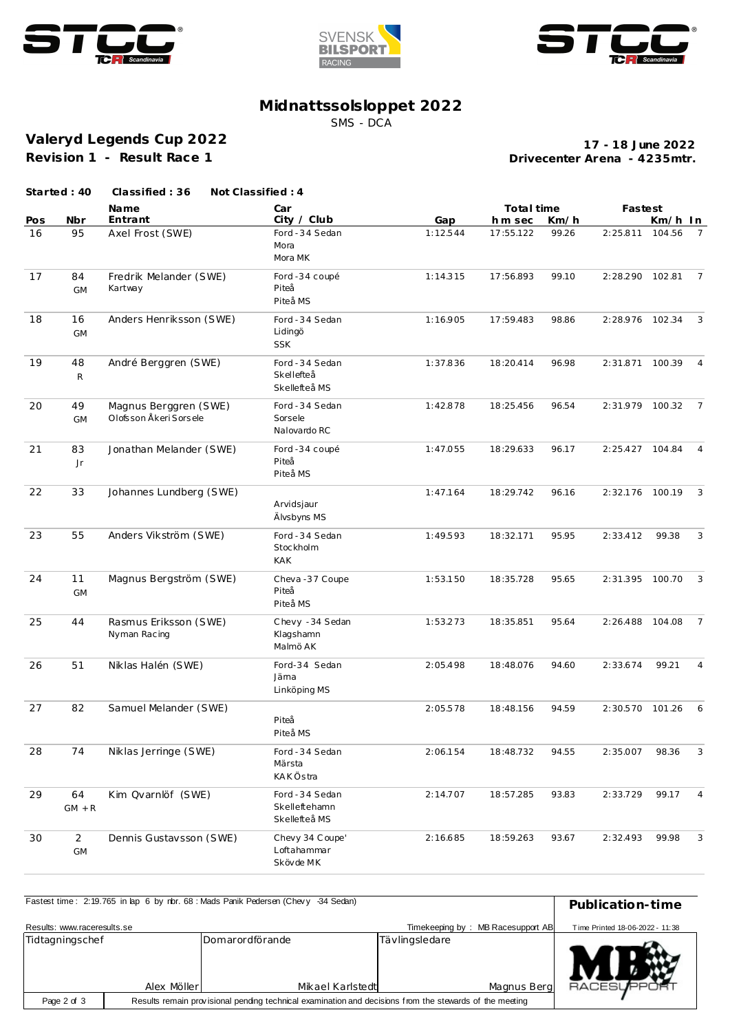





## **Midnattssolsloppet 2022**

SMS - DCA

**Valeryd Legends Cup 2022 Revision 1 - Result Race 1**

**Drivecenter Arena - 4235mtr. 17 - 18 June 2022**

|     | Started: 40                  | Classified: 36                                    | Not Classified: 4                                 |          |            |       |                 |         |                |
|-----|------------------------------|---------------------------------------------------|---------------------------------------------------|----------|------------|-------|-----------------|---------|----------------|
|     |                              | Name                                              | Car                                               |          | Total time |       | Fastest         |         |                |
| Pos | Nbr                          | Entrant                                           | City / Club                                       | Gap      | h m sec    | Km/h  |                 | Km/h In |                |
| 16  | 95                           | Axel Frost (SWE)                                  | Ford - 34 Sedan<br>Mora<br>Mora MK                | 1:12.544 | 17:55.122  | 99.26 | 2:25.811        | 104.56  | $\overline{7}$ |
| 17  | 84<br><b>GM</b>              | Fredrik Melander (SWE)<br>Kartway                 | Ford -34 coupé<br>Piteå<br>Piteå MS               | 1:14.315 | 17:56.893  | 99.10 | 2:28.290        | 102.81  | $\overline{7}$ |
| 18  | 16<br>GM                     | Anders Henriksson (SWE)                           | Ford - 34 Sedan<br>Lidingö<br><b>SSK</b>          | 1:16.905 | 17:59.483  | 98.86 | 2:28.976 102.34 |         | 3              |
| 19  | 48<br>$\mathsf{R}$           | André Berggren (SWE)                              | Ford - 34 Sedan<br>Skellefteå<br>Skellefteå MS    | 1:37.836 | 18:20.414  | 96.98 | 2:31.871        | 100.39  | $\overline{4}$ |
| 20  | 49<br><b>GM</b>              | Magnus Berggren (SWE)<br>Olofs son Åkeri Sors ele | Ford - 34 Sedan<br>Sorsele<br>Nalovardo RC        | 1:42.878 | 18:25.456  | 96.54 | 2:31.979 100.32 |         | $\overline{7}$ |
| 21  | 83<br>Jr                     | Jonathan Melander (SWE)                           | Ford -34 coupé<br>Piteå<br>Piteå MS               | 1:47.055 | 18:29.633  | 96.17 | 2:25.427 104.84 |         | $\overline{4}$ |
| 22  | 33                           | Johannes Lundberg (SWE)                           | Arvidsjaur<br>Älvsbyns MS                         | 1:47.164 | 18:29.742  | 96.16 | 2:32.176 100.19 |         | 3              |
| 23  | 55                           | Anders Vikström (SWE)                             | Ford - 34 Sedan<br>Stockholm<br><b>KAK</b>        | 1:49.593 | 18:32.171  | 95.95 | 2:33.412        | 99.38   | 3              |
| 24  | 11<br>GM                     | Magnus Bergström (SWE)                            | Cheva-37 Coupe<br>Piteå<br>Piteå MS               | 1:53.150 | 18:35.728  | 95.65 | 2:31.395        | 100.70  | 3              |
| 25  | 44                           | Rasmus Eriksson (SWE)<br>Nyman Racing             | Chevy - 34 Sedan<br>Klagshamn<br>Malmö AK         | 1:53.273 | 18:35.851  | 95.64 | 2:26.488        | 104.08  | 7              |
| 26  | 51                           | Niklas Halén (SWE)                                | Ford-34 Sedan<br>Jäma<br>Linköping MS             | 2:05.498 | 18:48.076  | 94.60 | 2:33.674        | 99.21   | 4              |
| 27  | 82                           | Samuel Melander (SWE)                             | Piteå<br>Piteå MS                                 | 2:05.578 | 18:48.156  | 94.59 | 2:30.570        | 101.26  | $6^{\circ}$    |
| 28  | 74                           | Niklas Jerringe (SWE)                             | Ford - 34 Sedan<br>Märsta<br>KAKÖstra             | 2:06.154 | 18:48.732  | 94.55 | 2:35.007        | 98.36   | 3              |
| 29  | 64<br>$GM + R$               | Kim Qvarnlöf (SWE)                                | Ford - 34 Sedan<br>Skelleftehamn<br>Skellefteå MS | 2:14.707 | 18:57.285  | 93.83 | 2:33.729        | 99.17   | $\overline{4}$ |
| 30  | $\overline{2}$<br>${\sf GM}$ | Dennis Gustavsson (SWE)                           | Chevy 34 Coupe'<br>Loftahammar<br>Skövde MK       | 2:16.685 | 18:59.263  | 93.67 | 2:32.493        | 99.98   | 3              |

| Fastest time: 2:19.765 in lap 6 by nbr. 68: Mads Panik Pedersen (Chevy -34 Sedan)                                      |                                                                      | Publication-time                    |                |             |                |  |  |  |
|------------------------------------------------------------------------------------------------------------------------|----------------------------------------------------------------------|-------------------------------------|----------------|-------------|----------------|--|--|--|
| Results: www.raceresults.se                                                                                            | Timekeeping by: MB Racesupport AB<br>Time Printed 18-06-2022 - 11:38 |                                     |                |             |                |  |  |  |
| Tidtagningschef                                                                                                        | Alex Möller                                                          | Domarordförande<br>Mikael Karlstedt | Tävlingsledare | Magnus Berg | <b>RACESUF</b> |  |  |  |
| Results remain provisional pending technical examination and decisions from the stewards of the meeting<br>Page 2 of 3 |                                                                      |                                     |                |             |                |  |  |  |